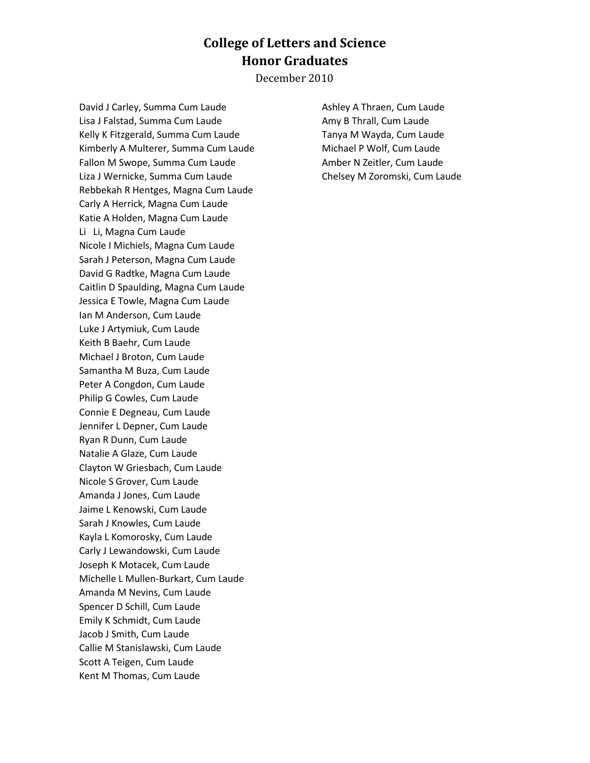## **College of Letters and Science Honor Graduates**

December 2010

David J Carley, Summa Cum Laude Lisa J Falstad, Summa Cum Laude Kelly K Fitzgerald, Summa Cum Laude Kimberly A Multerer, Summa Cum Laude Fallon M Swope, Summa Cum Laude Liza J Wernicke, Summa Cum Laude Rebbekah R Hentges, Magna Cum Laude Carly A Herrick, Magna Cum Laude Katie A Holden, Magna Cum Laude Li Li, Magna Cum Laude Nicole I Michiels, Magna Cum Laude Sarah J Peterson, Magna Cum Laude David G Radtke, Magna Cum Laude Caitlin D Spaulding, Magna Cum Laude Jessica E Towle, Magna Cum Laude Ian M Anderson, Cum Laude Luke J Artymiuk, Cum Laude Keith B Baehr, Cum Laude Michael J Broton, Cum Laude Samantha M Buza, Cum Laude Peter A Congdon, Cum Laude Philip G Cowles, Cum Laude Connie E Degneau, Cum Laude Jennifer L Depner, Cum Laude Ryan R Dunn, Cum Laude Natalie A Glaze, Cum Laude Clayton W Griesbach, Cum Laude Nicole S Grover, Cum Laude Amanda J Jones, Cum Laude Jaime L Kenowski, Cum Laude Sarah J Knowles, Cum Laude Kayla L Komorosky, Cum Laude Carly J Lewandowski, Cum Laude Joseph K Motacek, Cum Laude Michelle L Mullen-Burkart, Cum Laude Amanda M Nevins, Cum Laude Spencer D Schill, Cum Laude Emily K Schmidt, Cum Laude Jacob J Smith, Cum Laude Callie M Stanislawski, Cum Laude Scott A Teigen, Cum Laude Kent M Thomas, Cum Laude

Ashley A Thraen, Cum Laude Amy B Thrall, Cum Laude Tanya M Wayda, Cum Laude Michael P Wolf, Cum Laude Amber N Zeitler, Cum Laude Chelsey M Zoromski, Cum Laude